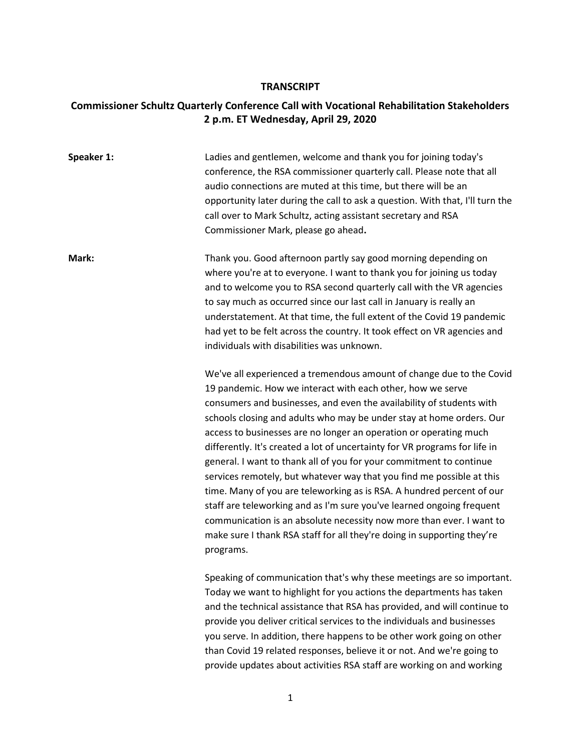## **TRANSCRIPT**

## **Commissioner Schultz Quarterly Conference Call with Vocational Rehabilitation Stakeholders 2 p.m. ET Wednesday, April 29, 2020**

| Speaker 1: | Ladies and gentlemen, welcome and thank you for joining today's<br>conference, the RSA commissioner quarterly call. Please note that all<br>audio connections are muted at this time, but there will be an<br>opportunity later during the call to ask a question. With that, I'll turn the<br>call over to Mark Schultz, acting assistant secretary and RSA<br>Commissioner Mark, please go ahead.                                                                                                                                                                                                                                                                                                                                                                                                                                                                                                     |
|------------|---------------------------------------------------------------------------------------------------------------------------------------------------------------------------------------------------------------------------------------------------------------------------------------------------------------------------------------------------------------------------------------------------------------------------------------------------------------------------------------------------------------------------------------------------------------------------------------------------------------------------------------------------------------------------------------------------------------------------------------------------------------------------------------------------------------------------------------------------------------------------------------------------------|
| Mark:      | Thank you. Good afternoon partly say good morning depending on<br>where you're at to everyone. I want to thank you for joining us today<br>and to welcome you to RSA second quarterly call with the VR agencies<br>to say much as occurred since our last call in January is really an<br>understatement. At that time, the full extent of the Covid 19 pandemic<br>had yet to be felt across the country. It took effect on VR agencies and<br>individuals with disabilities was unknown.                                                                                                                                                                                                                                                                                                                                                                                                              |
|            | We've all experienced a tremendous amount of change due to the Covid<br>19 pandemic. How we interact with each other, how we serve<br>consumers and businesses, and even the availability of students with<br>schools closing and adults who may be under stay at home orders. Our<br>access to businesses are no longer an operation or operating much<br>differently. It's created a lot of uncertainty for VR programs for life in<br>general. I want to thank all of you for your commitment to continue<br>services remotely, but whatever way that you find me possible at this<br>time. Many of you are teleworking as is RSA. A hundred percent of our<br>staff are teleworking and as I'm sure you've learned ongoing frequent<br>communication is an absolute necessity now more than ever. I want to<br>make sure I thank RSA staff for all they're doing in supporting they're<br>programs. |
|            | Speaking of communication that's why these meetings are so important.<br>Today we want to highlight for you actions the departments has taken<br>and the technical assistance that RSA has provided, and will continue to<br>provide you deliver critical services to the individuals and businesses<br>you serve. In addition, there happens to be other work going on other<br>than Covid 19 related responses, believe it or not. And we're going to<br>provide updates about activities RSA staff are working on and working                                                                                                                                                                                                                                                                                                                                                                        |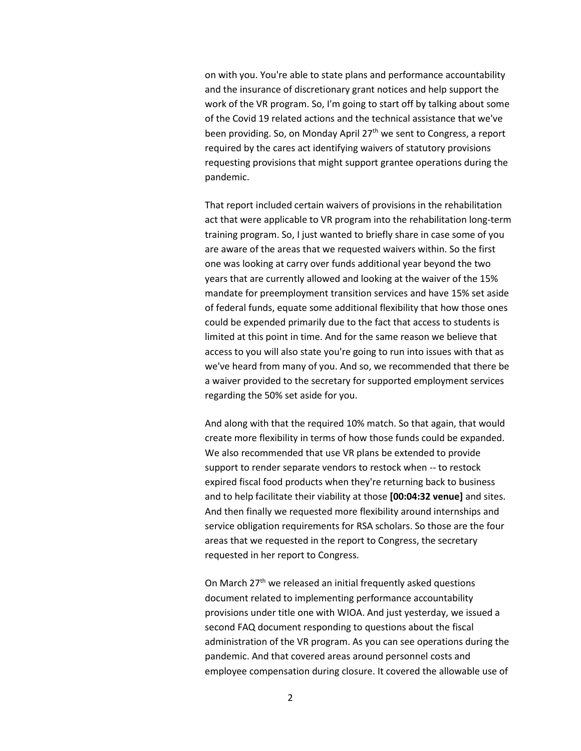on with you. You're able to state plans and performance accountability and the insurance of discretionary grant notices and help support the work of the VR program. So, I'm going to start off by talking about some of the Covid 19 related actions and the technical assistance that we've been providing. So, on Monday April  $27<sup>th</sup>$  we sent to Congress, a report required by the cares act identifying waivers of statutory provisions requesting provisions that might support grantee operations during the pandemic.

That report included certain waivers of provisions in the rehabilitation act that were applicable to VR program into the rehabilitation long-term training program. So, I just wanted to briefly share in case some of you are aware of the areas that we requested waivers within. So the first one was looking at carry over funds additional year beyond the two years that are currently allowed and looking at the waiver of the 15% mandate for preemployment transition services and have 15% set aside of federal funds, equate some additional flexibility that how those ones could be expended primarily due to the fact that access to students is limited at this point in time. And for the same reason we believe that access to you will also state you're going to run into issues with that as we've heard from many of you. And so, we recommended that there be a waiver provided to the secretary for supported employment services regarding the 50% set aside for you.

And along with that the required 10% match. So that again, that would create more flexibility in terms of how those funds could be expanded. We also recommended that use VR plans be extended to provide support to render separate vendors to restock when -- to restock expired fiscal food products when they're returning back to business and to help facilitate their viability at those **[00:04:32 venue]** and sites. And then finally we requested more flexibility around internships and service obligation requirements for RSA scholars. So those are the four areas that we requested in the report to Congress, the secretary requested in her report to Congress.

On March 27<sup>th</sup> we released an initial frequently asked questions document related to implementing performance accountability provisions under title one with WIOA. And just yesterday, we issued a second FAQ document responding to questions about the fiscal administration of the VR program. As you can see operations during the pandemic. And that covered areas around personnel costs and employee compensation during closure. It covered the allowable use of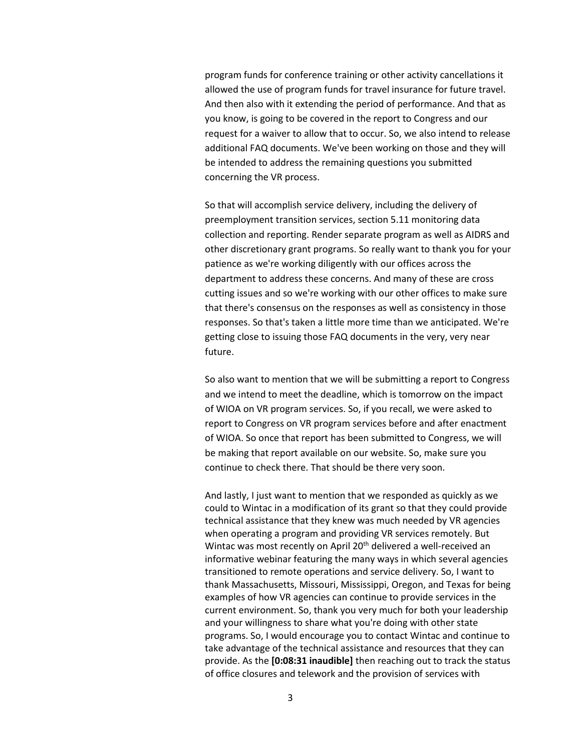program funds for conference training or other activity cancellations it allowed the use of program funds for travel insurance for future travel. And then also with it extending the period of performance. And that as you know, is going to be covered in the report to Congress and our request for a waiver to allow that to occur. So, we also intend to release additional FAQ documents. We've been working on those and they will be intended to address the remaining questions you submitted concerning the VR process.

So that will accomplish service delivery, including the delivery of preemployment transition services, section 5.11 monitoring data collection and reporting. Render separate program as well as AIDRS and other discretionary grant programs. So really want to thank you for your patience as we're working diligently with our offices across the department to address these concerns. And many of these are cross cutting issues and so we're working with our other offices to make sure that there's consensus on the responses as well as consistency in those responses. So that's taken a little more time than we anticipated. We're getting close to issuing those FAQ documents in the very, very near future.

So also want to mention that we will be submitting a report to Congress and we intend to meet the deadline, which is tomorrow on the impact of WIOA on VR program services. So, if you recall, we were asked to report to Congress on VR program services before and after enactment of WIOA. So once that report has been submitted to Congress, we will be making that report available on our website. So, make sure you continue to check there. That should be there very soon.

And lastly, I just want to mention that we responded as quickly as we could to Wintac in a modification of its grant so that they could provide technical assistance that they knew was much needed by VR agencies when operating a program and providing VR services remotely. But Wintac was most recently on April 20<sup>th</sup> delivered a well-received an informative webinar featuring the many ways in which several agencies transitioned to remote operations and service delivery. So, I want to thank Massachusetts, Missouri, Mississippi, Oregon, and Texas for being examples of how VR agencies can continue to provide services in the current environment. So, thank you very much for both your leadership and your willingness to share what you're doing with other state programs. So, I would encourage you to contact Wintac and continue to take advantage of the technical assistance and resources that they can provide. As the **[0:08:31 inaudible]** then reaching out to track the status of office closures and telework and the provision of services with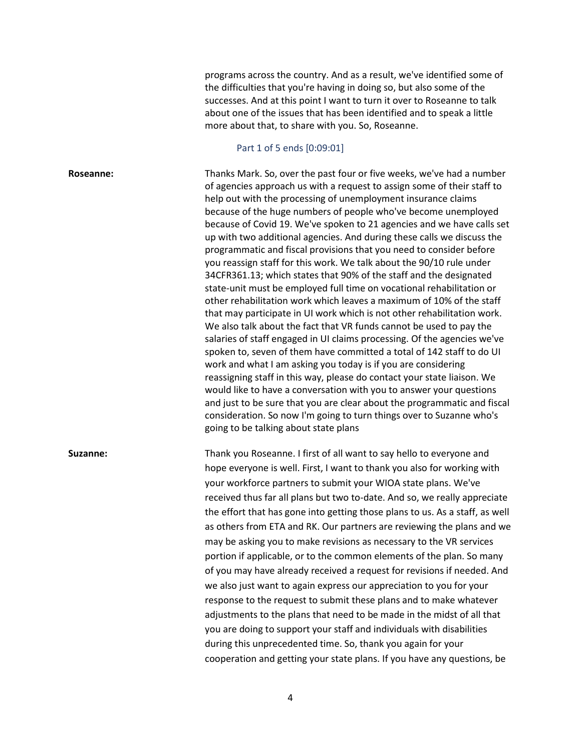programs across the country. And as a result, we've identified some of the difficulties that you're having in doing so, but also some of the successes. And at this point I want to turn it over to Roseanne to talk about one of the issues that has been identified and to speak a little more about that, to share with you. So, Roseanne.

## Part 1 of 5 ends [0:09:01]

**Roseanne:** Thanks Mark. So, over the past four or five weeks, we've had a number of agencies approach us with a request to assign some of their staff to help out with the processing of unemployment insurance claims because of the huge numbers of people who've become unemployed because of Covid 19. We've spoken to 21 agencies and we have calls set up with two additional agencies. And during these calls we discuss the programmatic and fiscal provisions that you need to consider before you reassign staff for this work. We talk about the 90/10 rule under 34CFR361.13; which states that 90% of the staff and the designated state-unit must be employed full time on vocational rehabilitation or other rehabilitation work which leaves a maximum of 10% of the staff that may participate in UI work which is not other rehabilitation work. We also talk about the fact that VR funds cannot be used to pay the salaries of staff engaged in UI claims processing. Of the agencies we've spoken to, seven of them have committed a total of 142 staff to do UI work and what I am asking you today is if you are considering reassigning staff in this way, please do contact your state liaison. We would like to have a conversation with you to answer your questions and just to be sure that you are clear about the programmatic and fiscal consideration. So now I'm going to turn things over to Suzanne who's going to be talking about state plans **Suzanne:** Thank you Roseanne. I first of all want to say hello to everyone and

hope everyone is well. First, I want to thank you also for working with your workforce partners to submit your WIOA state plans. We've received thus far all plans but two to-date. And so, we really appreciate the effort that has gone into getting those plans to us. As a staff, as well as others from ETA and RK. Our partners are reviewing the plans and we may be asking you to make revisions as necessary to the VR services portion if applicable, or to the common elements of the plan. So many of you may have already received a request for revisions if needed. And we also just want to again express our appreciation to you for your response to the request to submit these plans and to make whatever adjustments to the plans that need to be made in the midst of all that you are doing to support your staff and individuals with disabilities during this unprecedented time. So, thank you again for your cooperation and getting your state plans. If you have any questions, be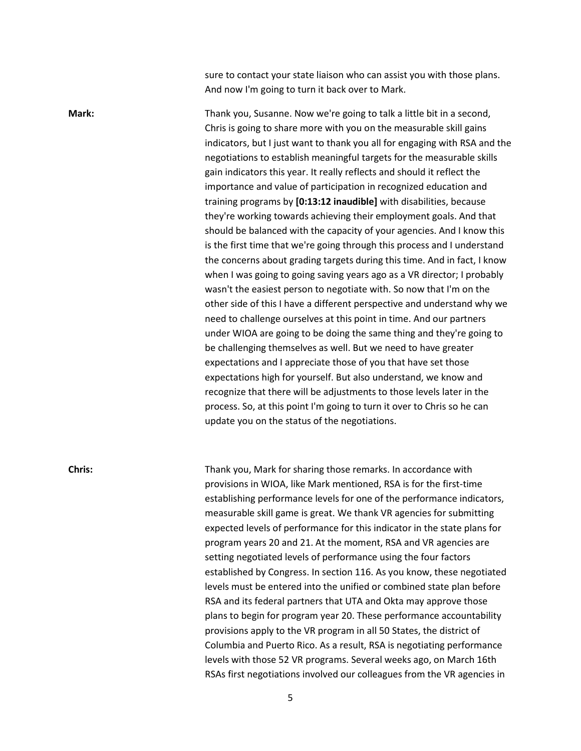sure to contact your state liaison who can assist you with those plans. And now I'm going to turn it back over to Mark.

Mark: Mark: Thank you, Susanne. Now we're going to talk a little bit in a second, Chris is going to share more with you on the measurable skill gains indicators, but I just want to thank you all for engaging with RSA and the negotiations to establish meaningful targets for the measurable skills gain indicators this year. It really reflects and should it reflect the importance and value of participation in recognized education and training programs by **[0:13:12 inaudible]** with disabilities, because they're working towards achieving their employment goals. And that should be balanced with the capacity of your agencies. And I know this is the first time that we're going through this process and I understand the concerns about grading targets during this time. And in fact, I know when I was going to going saving years ago as a VR director; I probably wasn't the easiest person to negotiate with. So now that I'm on the other side of this I have a different perspective and understand why we need to challenge ourselves at this point in time. And our partners under WIOA are going to be doing the same thing and they're going to be challenging themselves as well. But we need to have greater expectations and I appreciate those of you that have set those expectations high for yourself. But also understand, we know and recognize that there will be adjustments to those levels later in the process. So, at this point I'm going to turn it over to Chris so he can update you on the status of the negotiations.

**Chris:** Thank you, Mark for sharing those remarks. In accordance with provisions in WIOA, like Mark mentioned, RSA is for the first-time establishing performance levels for one of the performance indicators, measurable skill game is great. We thank VR agencies for submitting expected levels of performance for this indicator in the state plans for program years 20 and 21. At the moment, RSA and VR agencies are setting negotiated levels of performance using the four factors established by Congress. In section 116. As you know, these negotiated levels must be entered into the unified or combined state plan before RSA and its federal partners that UTA and Okta may approve those plans to begin for program year 20. These performance accountability provisions apply to the VR program in all 50 States, the district of Columbia and Puerto Rico. As a result, RSA is negotiating performance levels with those 52 VR programs. Several weeks ago, on March 16th RSAs first negotiations involved our colleagues from the VR agencies in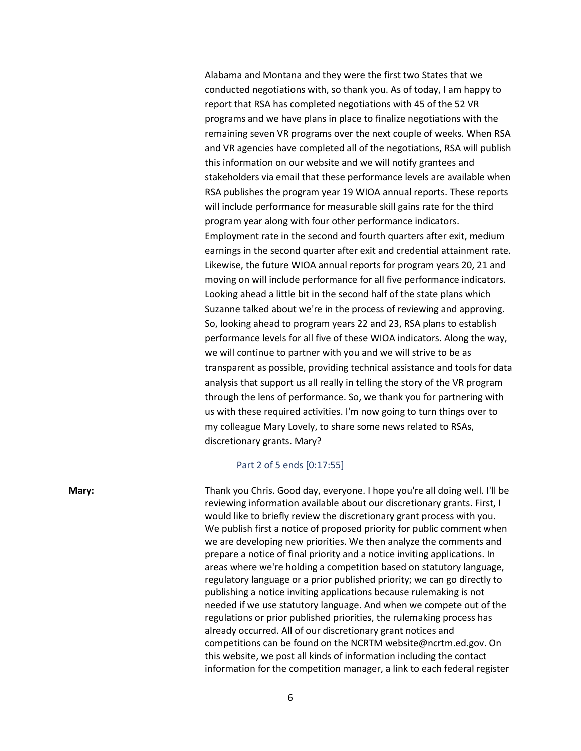Alabama and Montana and they were the first two States that we conducted negotiations with, so thank you. As of today, I am happy to report that RSA has completed negotiations with 45 of the 52 VR programs and we have plans in place to finalize negotiations with the remaining seven VR programs over the next couple of weeks. When RSA and VR agencies have completed all of the negotiations, RSA will publish this information on our website and we will notify grantees and stakeholders via email that these performance levels are available when RSA publishes the program year 19 WIOA annual reports. These reports will include performance for measurable skill gains rate for the third program year along with four other performance indicators. Employment rate in the second and fourth quarters after exit, medium earnings in the second quarter after exit and credential attainment rate. Likewise, the future WIOA annual reports for program years 20, 21 and moving on will include performance for all five performance indicators. Looking ahead a little bit in the second half of the state plans which Suzanne talked about we're in the process of reviewing and approving. So, looking ahead to program years 22 and 23, RSA plans to establish performance levels for all five of these WIOA indicators. Along the way, we will continue to partner with you and we will strive to be as transparent as possible, providing technical assistance and tools for data analysis that support us all really in telling the story of the VR program through the lens of performance. So, we thank you for partnering with us with these required activities. I'm now going to turn things over to my colleague Mary Lovely, to share some news related to RSAs, discretionary grants. Mary?

## Part 2 of 5 ends [0:17:55]

**Mary:** Thank you Chris. Good day, everyone. I hope you're all doing well. I'll be reviewing information available about our discretionary grants. First, I would like to briefly review the discretionary grant process with you. We publish first a notice of proposed priority for public comment when we are developing new priorities. We then analyze the comments and prepare a notice of final priority and a notice inviting applications. In areas where we're holding a competition based on statutory language, regulatory language or a prior published priority; we can go directly to publishing a notice inviting applications because rulemaking is not needed if we use statutory language. And when we compete out of the regulations or prior published priorities, the rulemaking process has already occurred. All of our discretionary grant notices and competitions can be found on the NCRTM website@ncrtm.ed.gov. On this website, we post all kinds of information including the contact information for the competition manager, a link to each federal register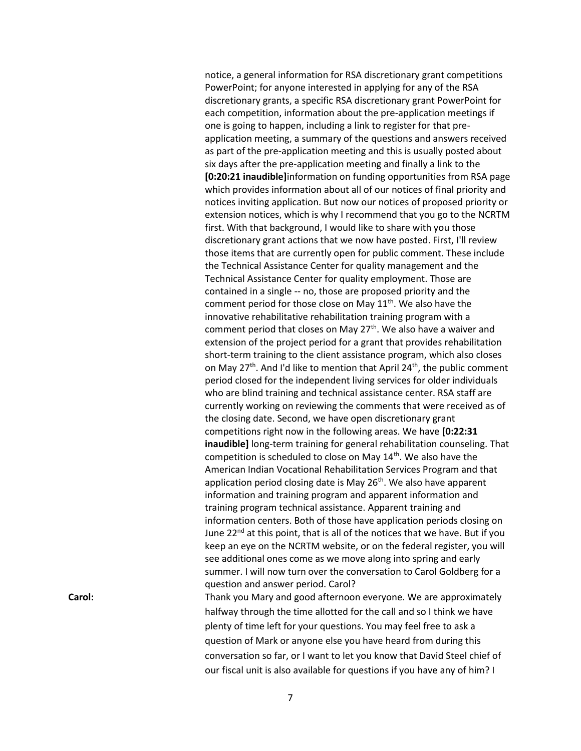notice, a general information for RSA discretionary grant competitions PowerPoint; for anyone interested in applying for any of the RSA discretionary grants, a specific RSA discretionary grant PowerPoint for each competition, information about the pre-application meetings if one is going to happen, including a link to register for that preapplication meeting, a summary of the questions and answers received as part of the pre-application meeting and this is usually posted about six days after the pre-application meeting and finally a link to the **[0:20:21 inaudible]**information on funding opportunities from RSA page which provides information about all of our notices of final priority and notices inviting application. But now our notices of proposed priority or extension notices, which is why I recommend that you go to the NCRTM first. With that background, I would like to share with you those discretionary grant actions that we now have posted. First, I'll review those items that are currently open for public comment. These include the Technical Assistance Center for quality management and the Technical Assistance Center for quality employment. Those are contained in a single -- no, those are proposed priority and the comment period for those close on May  $11<sup>th</sup>$ . We also have the innovative rehabilitative rehabilitation training program with a comment period that closes on May 27<sup>th</sup>. We also have a waiver and extension of the project period for a grant that provides rehabilitation short-term training to the client assistance program, which also closes on May 27<sup>th</sup>. And I'd like to mention that April 24<sup>th</sup>, the public comment period closed for the independent living services for older individuals who are blind training and technical assistance center. RSA staff are currently working on reviewing the comments that were received as of the closing date. Second, we have open discretionary grant competitions right now in the following areas. We have **[0:22:31 inaudible]** long-term training for general rehabilitation counseling. That competition is scheduled to close on May 14<sup>th</sup>. We also have the American Indian Vocational Rehabilitation Services Program and that application period closing date is May  $26<sup>th</sup>$ . We also have apparent information and training program and apparent information and training program technical assistance. Apparent training and information centers. Both of those have application periods closing on June 22<sup>nd</sup> at this point, that is all of the notices that we have. But if you keep an eye on the NCRTM website, or on the federal register, you will see additional ones come as we move along into spring and early summer. I will now turn over the conversation to Carol Goldberg for a question and answer period. Carol? **Carol:** Thank you Mary and good afternoon everyone. We are approximately

halfway through the time allotted for the call and so I think we have plenty of time left for your questions. You may feel free to ask a question of Mark or anyone else you have heard from during this conversation so far, or I want to let you know that David Steel chief of our fiscal unit is also available for questions if you have any of him? I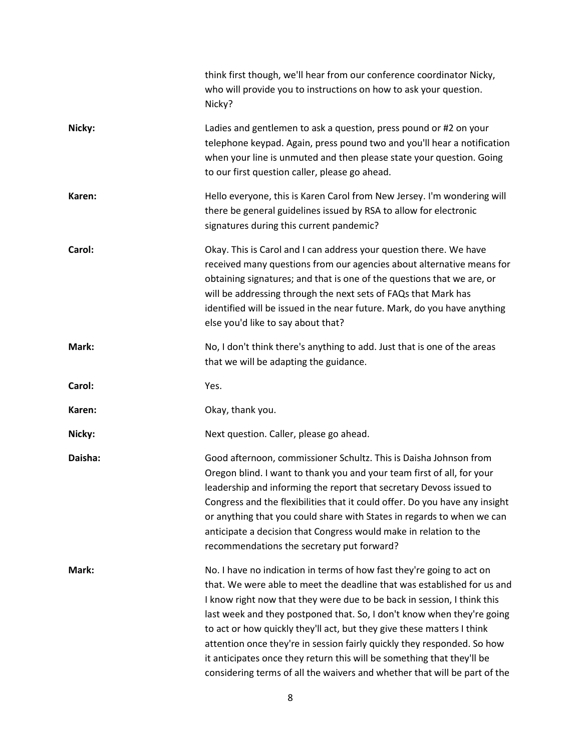|         | think first though, we'll hear from our conference coordinator Nicky,<br>who will provide you to instructions on how to ask your question.<br>Nicky?                                                                                                                                                                                                                                                                                                                                                                                                                                                              |
|---------|-------------------------------------------------------------------------------------------------------------------------------------------------------------------------------------------------------------------------------------------------------------------------------------------------------------------------------------------------------------------------------------------------------------------------------------------------------------------------------------------------------------------------------------------------------------------------------------------------------------------|
| Nicky:  | Ladies and gentlemen to ask a question, press pound or #2 on your<br>telephone keypad. Again, press pound two and you'll hear a notification<br>when your line is unmuted and then please state your question. Going<br>to our first question caller, please go ahead.                                                                                                                                                                                                                                                                                                                                            |
| Karen:  | Hello everyone, this is Karen Carol from New Jersey. I'm wondering will<br>there be general guidelines issued by RSA to allow for electronic<br>signatures during this current pandemic?                                                                                                                                                                                                                                                                                                                                                                                                                          |
| Carol:  | Okay. This is Carol and I can address your question there. We have<br>received many questions from our agencies about alternative means for<br>obtaining signatures; and that is one of the questions that we are, or<br>will be addressing through the next sets of FAQs that Mark has<br>identified will be issued in the near future. Mark, do you have anything<br>else you'd like to say about that?                                                                                                                                                                                                         |
| Mark:   | No, I don't think there's anything to add. Just that is one of the areas<br>that we will be adapting the guidance.                                                                                                                                                                                                                                                                                                                                                                                                                                                                                                |
| Carol:  | Yes.                                                                                                                                                                                                                                                                                                                                                                                                                                                                                                                                                                                                              |
| Karen:  | Okay, thank you.                                                                                                                                                                                                                                                                                                                                                                                                                                                                                                                                                                                                  |
| Nicky:  | Next question. Caller, please go ahead.                                                                                                                                                                                                                                                                                                                                                                                                                                                                                                                                                                           |
| Daisha: | Good afternoon, commissioner Schultz. This is Daisha Johnson from<br>Oregon blind. I want to thank you and your team first of all, for your<br>leadership and informing the report that secretary Devoss issued to<br>Congress and the flexibilities that it could offer. Do you have any insight<br>or anything that you could share with States in regards to when we can<br>anticipate a decision that Congress would make in relation to the<br>recommendations the secretary put forward?                                                                                                                    |
| Mark:   | No. I have no indication in terms of how fast they're going to act on<br>that. We were able to meet the deadline that was established for us and<br>I know right now that they were due to be back in session, I think this<br>last week and they postponed that. So, I don't know when they're going<br>to act or how quickly they'll act, but they give these matters I think<br>attention once they're in session fairly quickly they responded. So how<br>it anticipates once they return this will be something that they'll be<br>considering terms of all the waivers and whether that will be part of the |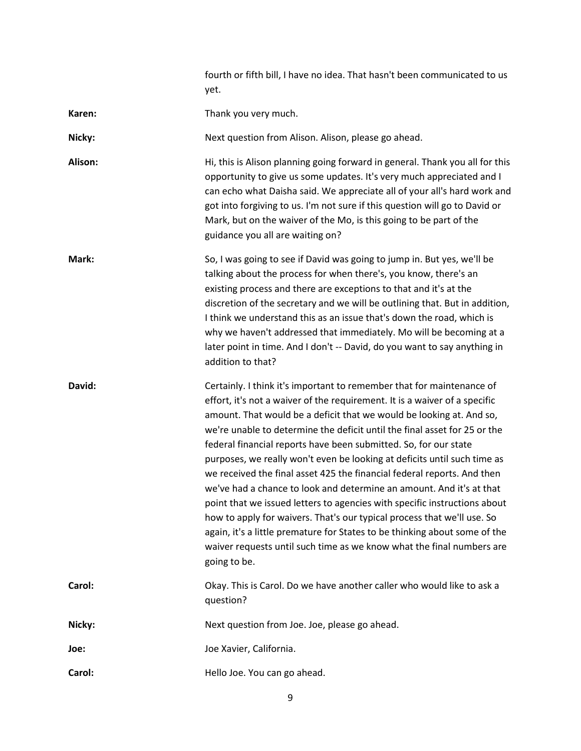|         | fourth or fifth bill, I have no idea. That hasn't been communicated to us<br>yet.                                                                                                                                                                                                                                                                                                                                                                                                                                                                                                                                                                                                                                                                                                                                                                                                                                                          |
|---------|--------------------------------------------------------------------------------------------------------------------------------------------------------------------------------------------------------------------------------------------------------------------------------------------------------------------------------------------------------------------------------------------------------------------------------------------------------------------------------------------------------------------------------------------------------------------------------------------------------------------------------------------------------------------------------------------------------------------------------------------------------------------------------------------------------------------------------------------------------------------------------------------------------------------------------------------|
| Karen:  | Thank you very much.                                                                                                                                                                                                                                                                                                                                                                                                                                                                                                                                                                                                                                                                                                                                                                                                                                                                                                                       |
| Nicky:  | Next question from Alison. Alison, please go ahead.                                                                                                                                                                                                                                                                                                                                                                                                                                                                                                                                                                                                                                                                                                                                                                                                                                                                                        |
| Alison: | Hi, this is Alison planning going forward in general. Thank you all for this<br>opportunity to give us some updates. It's very much appreciated and I<br>can echo what Daisha said. We appreciate all of your all's hard work and<br>got into forgiving to us. I'm not sure if this question will go to David or<br>Mark, but on the waiver of the Mo, is this going to be part of the<br>guidance you all are waiting on?                                                                                                                                                                                                                                                                                                                                                                                                                                                                                                                 |
| Mark:   | So, I was going to see if David was going to jump in. But yes, we'll be<br>talking about the process for when there's, you know, there's an<br>existing process and there are exceptions to that and it's at the<br>discretion of the secretary and we will be outlining that. But in addition,<br>I think we understand this as an issue that's down the road, which is<br>why we haven't addressed that immediately. Mo will be becoming at a<br>later point in time. And I don't -- David, do you want to say anything in<br>addition to that?                                                                                                                                                                                                                                                                                                                                                                                          |
| David:  | Certainly. I think it's important to remember that for maintenance of<br>effort, it's not a waiver of the requirement. It is a waiver of a specific<br>amount. That would be a deficit that we would be looking at. And so,<br>we're unable to determine the deficit until the final asset for 25 or the<br>federal financial reports have been submitted. So, for our state<br>purposes, we really won't even be looking at deficits until such time as<br>we received the final asset 425 the financial federal reports. And then<br>we've had a chance to look and determine an amount. And it's at that<br>point that we issued letters to agencies with specific instructions about<br>how to apply for waivers. That's our typical process that we'll use. So<br>again, it's a little premature for States to be thinking about some of the<br>waiver requests until such time as we know what the final numbers are<br>going to be. |
| Carol:  | Okay. This is Carol. Do we have another caller who would like to ask a<br>question?                                                                                                                                                                                                                                                                                                                                                                                                                                                                                                                                                                                                                                                                                                                                                                                                                                                        |
| Nicky:  | Next question from Joe. Joe, please go ahead.                                                                                                                                                                                                                                                                                                                                                                                                                                                                                                                                                                                                                                                                                                                                                                                                                                                                                              |
| Joe:    | Joe Xavier, California.                                                                                                                                                                                                                                                                                                                                                                                                                                                                                                                                                                                                                                                                                                                                                                                                                                                                                                                    |
|         |                                                                                                                                                                                                                                                                                                                                                                                                                                                                                                                                                                                                                                                                                                                                                                                                                                                                                                                                            |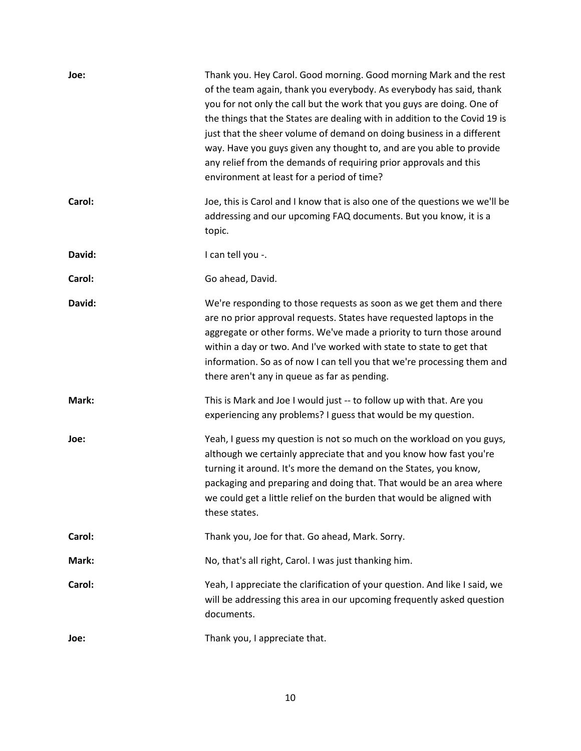| Joe:   | Thank you. Hey Carol. Good morning. Good morning Mark and the rest<br>of the team again, thank you everybody. As everybody has said, thank<br>you for not only the call but the work that you guys are doing. One of<br>the things that the States are dealing with in addition to the Covid 19 is<br>just that the sheer volume of demand on doing business in a different<br>way. Have you guys given any thought to, and are you able to provide<br>any relief from the demands of requiring prior approvals and this<br>environment at least for a period of time? |
|--------|------------------------------------------------------------------------------------------------------------------------------------------------------------------------------------------------------------------------------------------------------------------------------------------------------------------------------------------------------------------------------------------------------------------------------------------------------------------------------------------------------------------------------------------------------------------------|
| Carol: | Joe, this is Carol and I know that is also one of the questions we we'll be<br>addressing and our upcoming FAQ documents. But you know, it is a<br>topic.                                                                                                                                                                                                                                                                                                                                                                                                              |
| David: | I can tell you -.                                                                                                                                                                                                                                                                                                                                                                                                                                                                                                                                                      |
| Carol: | Go ahead, David.                                                                                                                                                                                                                                                                                                                                                                                                                                                                                                                                                       |
| David: | We're responding to those requests as soon as we get them and there<br>are no prior approval requests. States have requested laptops in the<br>aggregate or other forms. We've made a priority to turn those around<br>within a day or two. And I've worked with state to state to get that<br>information. So as of now I can tell you that we're processing them and<br>there aren't any in queue as far as pending.                                                                                                                                                 |
| Mark:  | This is Mark and Joe I would just -- to follow up with that. Are you<br>experiencing any problems? I guess that would be my question.                                                                                                                                                                                                                                                                                                                                                                                                                                  |
| Joe:   | Yeah, I guess my question is not so much on the workload on you guys,<br>although we certainly appreciate that and you know how fast you're<br>turning it around. It's more the demand on the States, you know,<br>packaging and preparing and doing that. That would be an area where<br>we could get a little relief on the burden that would be aligned with<br>these states.                                                                                                                                                                                       |
| Carol: | Thank you, Joe for that. Go ahead, Mark. Sorry.                                                                                                                                                                                                                                                                                                                                                                                                                                                                                                                        |
| Mark:  | No, that's all right, Carol. I was just thanking him.                                                                                                                                                                                                                                                                                                                                                                                                                                                                                                                  |
| Carol: | Yeah, I appreciate the clarification of your question. And like I said, we<br>will be addressing this area in our upcoming frequently asked question<br>documents.                                                                                                                                                                                                                                                                                                                                                                                                     |
| Joe:   | Thank you, I appreciate that.                                                                                                                                                                                                                                                                                                                                                                                                                                                                                                                                          |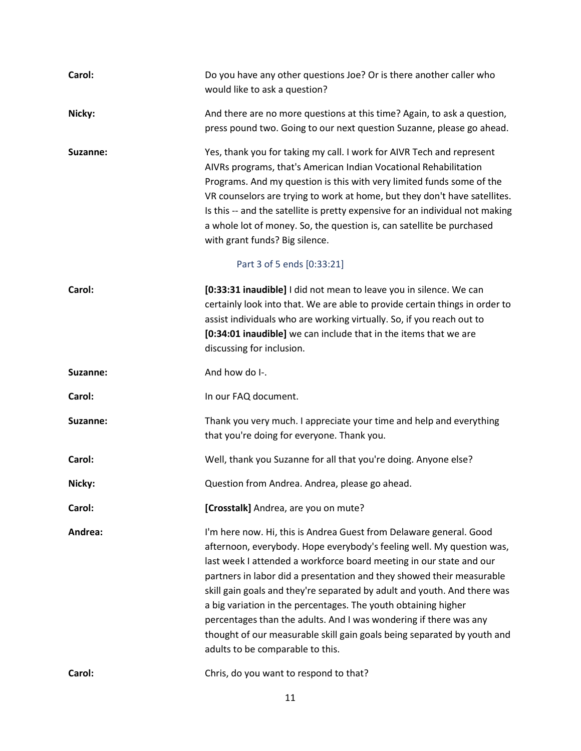| Carol:   | Do you have any other questions Joe? Or is there another caller who<br>would like to ask a question?                                                                                                                                                                                                                                                                                                                                                                                                                                                                                                                          |
|----------|-------------------------------------------------------------------------------------------------------------------------------------------------------------------------------------------------------------------------------------------------------------------------------------------------------------------------------------------------------------------------------------------------------------------------------------------------------------------------------------------------------------------------------------------------------------------------------------------------------------------------------|
| Nicky:   | And there are no more questions at this time? Again, to ask a question,<br>press pound two. Going to our next question Suzanne, please go ahead.                                                                                                                                                                                                                                                                                                                                                                                                                                                                              |
| Suzanne: | Yes, thank you for taking my call. I work for AIVR Tech and represent<br>AIVRs programs, that's American Indian Vocational Rehabilitation<br>Programs. And my question is this with very limited funds some of the<br>VR counselors are trying to work at home, but they don't have satellites.<br>Is this -- and the satellite is pretty expensive for an individual not making<br>a whole lot of money. So, the question is, can satellite be purchased<br>with grant funds? Big silence.                                                                                                                                   |
|          | Part 3 of 5 ends [0:33:21]                                                                                                                                                                                                                                                                                                                                                                                                                                                                                                                                                                                                    |
| Carol:   | [0:33:31 inaudible] I did not mean to leave you in silence. We can<br>certainly look into that. We are able to provide certain things in order to<br>assist individuals who are working virtually. So, if you reach out to<br>[0:34:01 inaudible] we can include that in the items that we are<br>discussing for inclusion.                                                                                                                                                                                                                                                                                                   |
| Suzanne: | And how do I-.                                                                                                                                                                                                                                                                                                                                                                                                                                                                                                                                                                                                                |
| Carol:   | In our FAQ document.                                                                                                                                                                                                                                                                                                                                                                                                                                                                                                                                                                                                          |
| Suzanne: | Thank you very much. I appreciate your time and help and everything<br>that you're doing for everyone. Thank you.                                                                                                                                                                                                                                                                                                                                                                                                                                                                                                             |
| Carol:   | Well, thank you Suzanne for all that you're doing. Anyone else?                                                                                                                                                                                                                                                                                                                                                                                                                                                                                                                                                               |
| Nicky:   | Question from Andrea. Andrea, please go ahead.                                                                                                                                                                                                                                                                                                                                                                                                                                                                                                                                                                                |
| Carol:   | [Crosstalk] Andrea, are you on mute?                                                                                                                                                                                                                                                                                                                                                                                                                                                                                                                                                                                          |
| Andrea:  | I'm here now. Hi, this is Andrea Guest from Delaware general. Good<br>afternoon, everybody. Hope everybody's feeling well. My question was,<br>last week I attended a workforce board meeting in our state and our<br>partners in labor did a presentation and they showed their measurable<br>skill gain goals and they're separated by adult and youth. And there was<br>a big variation in the percentages. The youth obtaining higher<br>percentages than the adults. And I was wondering if there was any<br>thought of our measurable skill gain goals being separated by youth and<br>adults to be comparable to this. |
| Carol:   | Chris, do you want to respond to that?                                                                                                                                                                                                                                                                                                                                                                                                                                                                                                                                                                                        |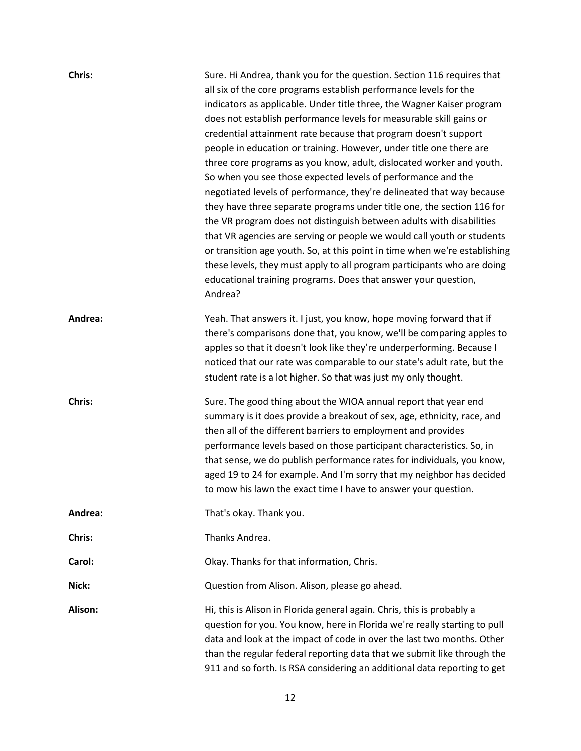| Chris:  | Sure. Hi Andrea, thank you for the question. Section 116 requires that<br>all six of the core programs establish performance levels for the<br>indicators as applicable. Under title three, the Wagner Kaiser program<br>does not establish performance levels for measurable skill gains or<br>credential attainment rate because that program doesn't support<br>people in education or training. However, under title one there are<br>three core programs as you know, adult, dislocated worker and youth.<br>So when you see those expected levels of performance and the<br>negotiated levels of performance, they're delineated that way because<br>they have three separate programs under title one, the section 116 for<br>the VR program does not distinguish between adults with disabilities<br>that VR agencies are serving or people we would call youth or students<br>or transition age youth. So, at this point in time when we're establishing<br>these levels, they must apply to all program participants who are doing<br>educational training programs. Does that answer your question,<br>Andrea? |
|---------|---------------------------------------------------------------------------------------------------------------------------------------------------------------------------------------------------------------------------------------------------------------------------------------------------------------------------------------------------------------------------------------------------------------------------------------------------------------------------------------------------------------------------------------------------------------------------------------------------------------------------------------------------------------------------------------------------------------------------------------------------------------------------------------------------------------------------------------------------------------------------------------------------------------------------------------------------------------------------------------------------------------------------------------------------------------------------------------------------------------------------|
| Andrea: | Yeah. That answers it. I just, you know, hope moving forward that if<br>there's comparisons done that, you know, we'll be comparing apples to<br>apples so that it doesn't look like they're underperforming. Because I<br>noticed that our rate was comparable to our state's adult rate, but the<br>student rate is a lot higher. So that was just my only thought.                                                                                                                                                                                                                                                                                                                                                                                                                                                                                                                                                                                                                                                                                                                                                     |
| Chris:  | Sure. The good thing about the WIOA annual report that year end<br>summary is it does provide a breakout of sex, age, ethnicity, race, and<br>then all of the different barriers to employment and provides<br>performance levels based on those participant characteristics. So, in<br>that sense, we do publish performance rates for individuals, you know,<br>aged 19 to 24 for example. And I'm sorry that my neighbor has decided<br>to mow his lawn the exact time I have to answer your question.                                                                                                                                                                                                                                                                                                                                                                                                                                                                                                                                                                                                                 |
| Andrea: | That's okay. Thank you.                                                                                                                                                                                                                                                                                                                                                                                                                                                                                                                                                                                                                                                                                                                                                                                                                                                                                                                                                                                                                                                                                                   |
| Chris:  | Thanks Andrea.                                                                                                                                                                                                                                                                                                                                                                                                                                                                                                                                                                                                                                                                                                                                                                                                                                                                                                                                                                                                                                                                                                            |
| Carol:  | Okay. Thanks for that information, Chris.                                                                                                                                                                                                                                                                                                                                                                                                                                                                                                                                                                                                                                                                                                                                                                                                                                                                                                                                                                                                                                                                                 |
| Nick:   | Question from Alison. Alison, please go ahead.                                                                                                                                                                                                                                                                                                                                                                                                                                                                                                                                                                                                                                                                                                                                                                                                                                                                                                                                                                                                                                                                            |
| Alison: | Hi, this is Alison in Florida general again. Chris, this is probably a<br>question for you. You know, here in Florida we're really starting to pull<br>data and look at the impact of code in over the last two months. Other<br>than the regular federal reporting data that we submit like through the<br>911 and so forth. Is RSA considering an additional data reporting to get                                                                                                                                                                                                                                                                                                                                                                                                                                                                                                                                                                                                                                                                                                                                      |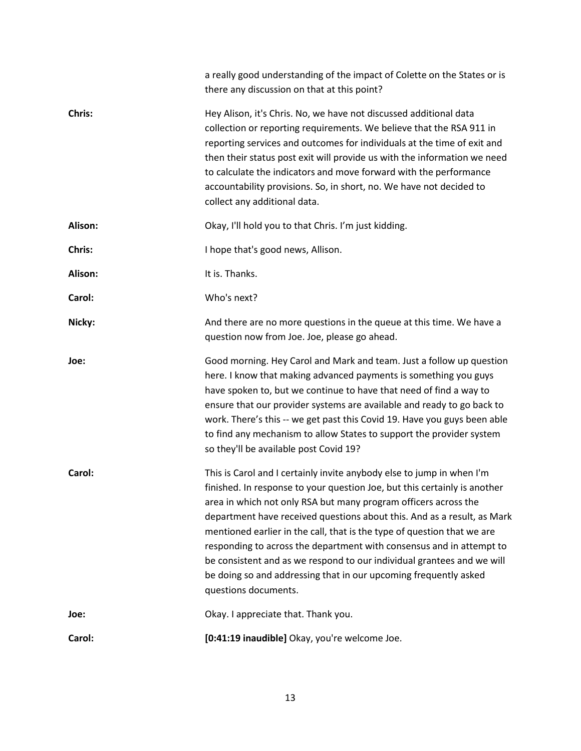|         | a really good understanding of the impact of Colette on the States or is<br>there any discussion on that at this point?                                                                                                                                                                                                                                                                                                                                                                |
|---------|----------------------------------------------------------------------------------------------------------------------------------------------------------------------------------------------------------------------------------------------------------------------------------------------------------------------------------------------------------------------------------------------------------------------------------------------------------------------------------------|
| Chris:  | Hey Alison, it's Chris. No, we have not discussed additional data<br>collection or reporting requirements. We believe that the RSA 911 in<br>reporting services and outcomes for individuals at the time of exit and<br>then their status post exit will provide us with the information we need<br>to calculate the indicators and move forward with the performance<br>accountability provisions. So, in short, no. We have not decided to<br>collect any additional data.           |
| Alison: | Okay, I'll hold you to that Chris. I'm just kidding.                                                                                                                                                                                                                                                                                                                                                                                                                                   |
| Chris:  | I hope that's good news, Allison.                                                                                                                                                                                                                                                                                                                                                                                                                                                      |
| Alison: | It is. Thanks.                                                                                                                                                                                                                                                                                                                                                                                                                                                                         |
| Carol:  | Who's next?                                                                                                                                                                                                                                                                                                                                                                                                                                                                            |
| Nicky:  | And there are no more questions in the queue at this time. We have a<br>question now from Joe. Joe, please go ahead.                                                                                                                                                                                                                                                                                                                                                                   |
| Joe:    | Good morning. Hey Carol and Mark and team. Just a follow up question<br>here. I know that making advanced payments is something you guys<br>have spoken to, but we continue to have that need of find a way to<br>ensure that our provider systems are available and ready to go back to<br>work. There's this -- we get past this Covid 19. Have you guys been able<br>to find any mechanism to allow States to support the provider system<br>so they'll be available post Covid 19? |
| Carol:  | This is Carol and I certainly invite anybody else to jump in when I'm<br>finished. In response to your question Joe, but this certainly is another<br>area in which not only RSA but many program officers across the<br>department have received questions about this. And as a result, as Mark<br>mentioned earlier in the call, that is the type of question that we are                                                                                                            |
|         | responding to across the department with consensus and in attempt to<br>be consistent and as we respond to our individual grantees and we will<br>be doing so and addressing that in our upcoming frequently asked<br>questions documents.                                                                                                                                                                                                                                             |
| Joe:    | Okay. I appreciate that. Thank you.                                                                                                                                                                                                                                                                                                                                                                                                                                                    |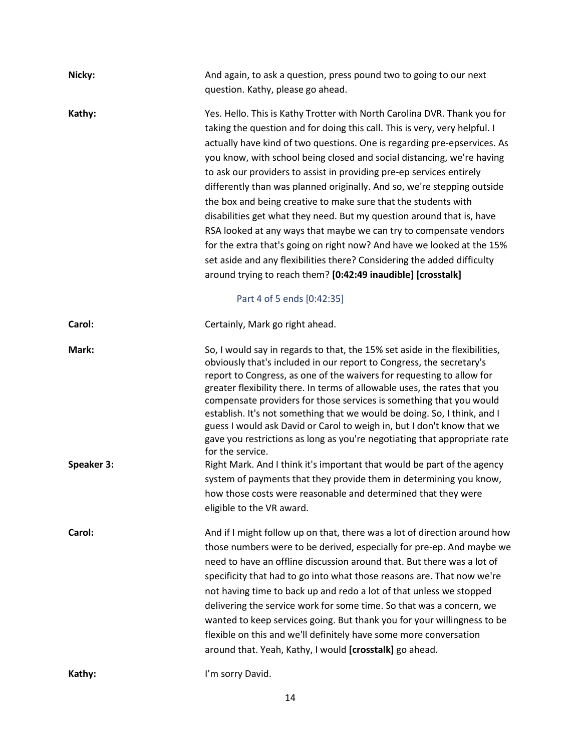| Nicky:     | And again, to ask a question, press pound two to going to our next<br>question. Kathy, please go ahead.                                                                                                                                                                                                                                                                                                                                                                                                                                                                                                                                                                                                                                                                                                                                                                                               |
|------------|-------------------------------------------------------------------------------------------------------------------------------------------------------------------------------------------------------------------------------------------------------------------------------------------------------------------------------------------------------------------------------------------------------------------------------------------------------------------------------------------------------------------------------------------------------------------------------------------------------------------------------------------------------------------------------------------------------------------------------------------------------------------------------------------------------------------------------------------------------------------------------------------------------|
| Kathy:     | Yes. Hello. This is Kathy Trotter with North Carolina DVR. Thank you for<br>taking the question and for doing this call. This is very, very helpful. I<br>actually have kind of two questions. One is regarding pre-epservices. As<br>you know, with school being closed and social distancing, we're having<br>to ask our providers to assist in providing pre-ep services entirely<br>differently than was planned originally. And so, we're stepping outside<br>the box and being creative to make sure that the students with<br>disabilities get what they need. But my question around that is, have<br>RSA looked at any ways that maybe we can try to compensate vendors<br>for the extra that's going on right now? And have we looked at the 15%<br>set aside and any flexibilities there? Considering the added difficulty<br>around trying to reach them? [0:42:49 inaudible] [crosstalk] |
| Carol:     | Part 4 of 5 ends [0:42:35]<br>Certainly, Mark go right ahead.                                                                                                                                                                                                                                                                                                                                                                                                                                                                                                                                                                                                                                                                                                                                                                                                                                         |
| Mark:      | So, I would say in regards to that, the 15% set aside in the flexibilities,<br>obviously that's included in our report to Congress, the secretary's<br>report to Congress, as one of the waivers for requesting to allow for<br>greater flexibility there. In terms of allowable uses, the rates that you<br>compensate providers for those services is something that you would<br>establish. It's not something that we would be doing. So, I think, and I<br>guess I would ask David or Carol to weigh in, but I don't know that we<br>gave you restrictions as long as you're negotiating that appropriate rate<br>for the service.                                                                                                                                                                                                                                                               |
| Speaker 3: | Right Mark. And I think it's important that would be part of the agency<br>system of payments that they provide them in determining you know,<br>how those costs were reasonable and determined that they were<br>eligible to the VR award.                                                                                                                                                                                                                                                                                                                                                                                                                                                                                                                                                                                                                                                           |
| Carol:     | And if I might follow up on that, there was a lot of direction around how<br>those numbers were to be derived, especially for pre-ep. And maybe we<br>need to have an offline discussion around that. But there was a lot of<br>specificity that had to go into what those reasons are. That now we're<br>not having time to back up and redo a lot of that unless we stopped<br>delivering the service work for some time. So that was a concern, we<br>wanted to keep services going. But thank you for your willingness to be<br>flexible on this and we'll definitely have some more conversation<br>around that. Yeah, Kathy, I would [crosstalk] go ahead.                                                                                                                                                                                                                                      |
| Kathy:     | I'm sorry David.                                                                                                                                                                                                                                                                                                                                                                                                                                                                                                                                                                                                                                                                                                                                                                                                                                                                                      |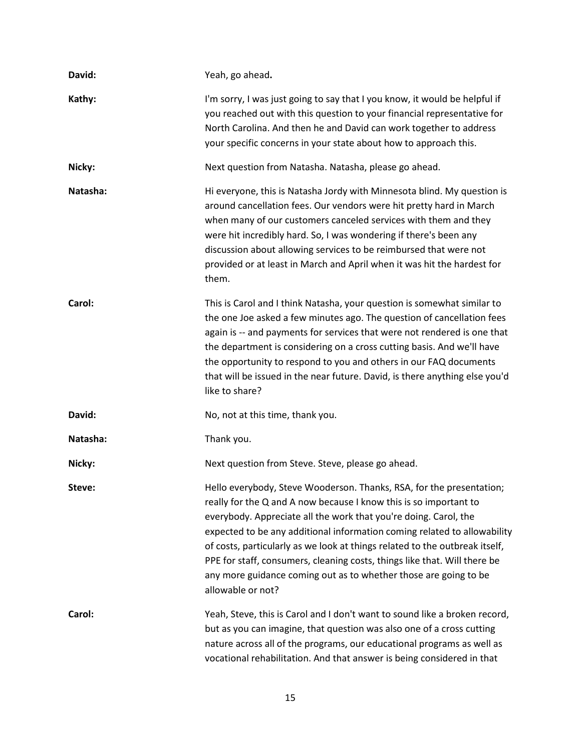| David:   | Yeah, go ahead.                                                                                                                                                                                                                                                                                                                                                                                                                                                                                                                                |
|----------|------------------------------------------------------------------------------------------------------------------------------------------------------------------------------------------------------------------------------------------------------------------------------------------------------------------------------------------------------------------------------------------------------------------------------------------------------------------------------------------------------------------------------------------------|
| Kathy:   | I'm sorry, I was just going to say that I you know, it would be helpful if<br>you reached out with this question to your financial representative for<br>North Carolina. And then he and David can work together to address<br>your specific concerns in your state about how to approach this.                                                                                                                                                                                                                                                |
| Nicky:   | Next question from Natasha. Natasha, please go ahead.                                                                                                                                                                                                                                                                                                                                                                                                                                                                                          |
| Natasha: | Hi everyone, this is Natasha Jordy with Minnesota blind. My question is<br>around cancellation fees. Our vendors were hit pretty hard in March<br>when many of our customers canceled services with them and they<br>were hit incredibly hard. So, I was wondering if there's been any<br>discussion about allowing services to be reimbursed that were not<br>provided or at least in March and April when it was hit the hardest for<br>them.                                                                                                |
| Carol:   | This is Carol and I think Natasha, your question is somewhat similar to<br>the one Joe asked a few minutes ago. The question of cancellation fees<br>again is -- and payments for services that were not rendered is one that<br>the department is considering on a cross cutting basis. And we'll have<br>the opportunity to respond to you and others in our FAQ documents<br>that will be issued in the near future. David, is there anything else you'd<br>like to share?                                                                  |
| David:   | No, not at this time, thank you.                                                                                                                                                                                                                                                                                                                                                                                                                                                                                                               |
| Natasha: | Thank you.                                                                                                                                                                                                                                                                                                                                                                                                                                                                                                                                     |
| Nicky:   | Next question from Steve. Steve, please go ahead.                                                                                                                                                                                                                                                                                                                                                                                                                                                                                              |
| Steve:   | Hello everybody, Steve Wooderson. Thanks, RSA, for the presentation;<br>really for the Q and A now because I know this is so important to<br>everybody. Appreciate all the work that you're doing. Carol, the<br>expected to be any additional information coming related to allowability<br>of costs, particularly as we look at things related to the outbreak itself,<br>PPE for staff, consumers, cleaning costs, things like that. Will there be<br>any more guidance coming out as to whether those are going to be<br>allowable or not? |
| Carol:   | Yeah, Steve, this is Carol and I don't want to sound like a broken record,<br>but as you can imagine, that question was also one of a cross cutting<br>nature across all of the programs, our educational programs as well as<br>vocational rehabilitation. And that answer is being considered in that                                                                                                                                                                                                                                        |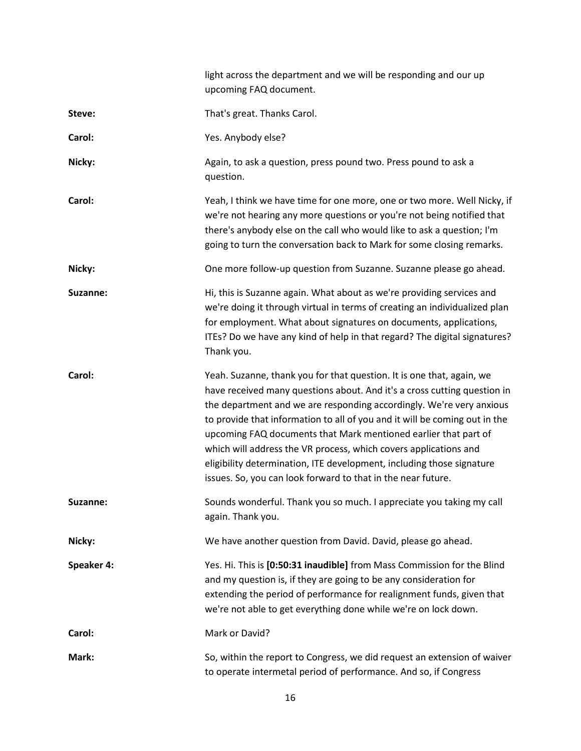|            | light across the department and we will be responding and our up<br>upcoming FAQ document.                                                                                                                                                                                                                                                                                                                                                                                                                                                                                              |
|------------|-----------------------------------------------------------------------------------------------------------------------------------------------------------------------------------------------------------------------------------------------------------------------------------------------------------------------------------------------------------------------------------------------------------------------------------------------------------------------------------------------------------------------------------------------------------------------------------------|
| Steve:     | That's great. Thanks Carol.                                                                                                                                                                                                                                                                                                                                                                                                                                                                                                                                                             |
| Carol:     | Yes. Anybody else?                                                                                                                                                                                                                                                                                                                                                                                                                                                                                                                                                                      |
| Nicky:     | Again, to ask a question, press pound two. Press pound to ask a<br>question.                                                                                                                                                                                                                                                                                                                                                                                                                                                                                                            |
| Carol:     | Yeah, I think we have time for one more, one or two more. Well Nicky, if<br>we're not hearing any more questions or you're not being notified that<br>there's anybody else on the call who would like to ask a question; I'm<br>going to turn the conversation back to Mark for some closing remarks.                                                                                                                                                                                                                                                                                   |
| Nicky:     | One more follow-up question from Suzanne. Suzanne please go ahead.                                                                                                                                                                                                                                                                                                                                                                                                                                                                                                                      |
| Suzanne:   | Hi, this is Suzanne again. What about as we're providing services and<br>we're doing it through virtual in terms of creating an individualized plan<br>for employment. What about signatures on documents, applications,<br>ITEs? Do we have any kind of help in that regard? The digital signatures?<br>Thank you.                                                                                                                                                                                                                                                                     |
| Carol:     | Yeah. Suzanne, thank you for that question. It is one that, again, we<br>have received many questions about. And it's a cross cutting question in<br>the department and we are responding accordingly. We're very anxious<br>to provide that information to all of you and it will be coming out in the<br>upcoming FAQ documents that Mark mentioned earlier that part of<br>which will address the VR process, which covers applications and<br>eligibility determination, ITE development, including those signature<br>issues. So, you can look forward to that in the near future. |
| Suzanne:   | Sounds wonderful. Thank you so much. I appreciate you taking my call<br>again. Thank you.                                                                                                                                                                                                                                                                                                                                                                                                                                                                                               |
| Nicky:     | We have another question from David. David, please go ahead.                                                                                                                                                                                                                                                                                                                                                                                                                                                                                                                            |
| Speaker 4: | Yes. Hi. This is [0:50:31 inaudible] from Mass Commission for the Blind<br>and my question is, if they are going to be any consideration for<br>extending the period of performance for realignment funds, given that<br>we're not able to get everything done while we're on lock down.                                                                                                                                                                                                                                                                                                |
| Carol:     | Mark or David?                                                                                                                                                                                                                                                                                                                                                                                                                                                                                                                                                                          |
| Mark:      | So, within the report to Congress, we did request an extension of waiver<br>to operate intermetal period of performance. And so, if Congress                                                                                                                                                                                                                                                                                                                                                                                                                                            |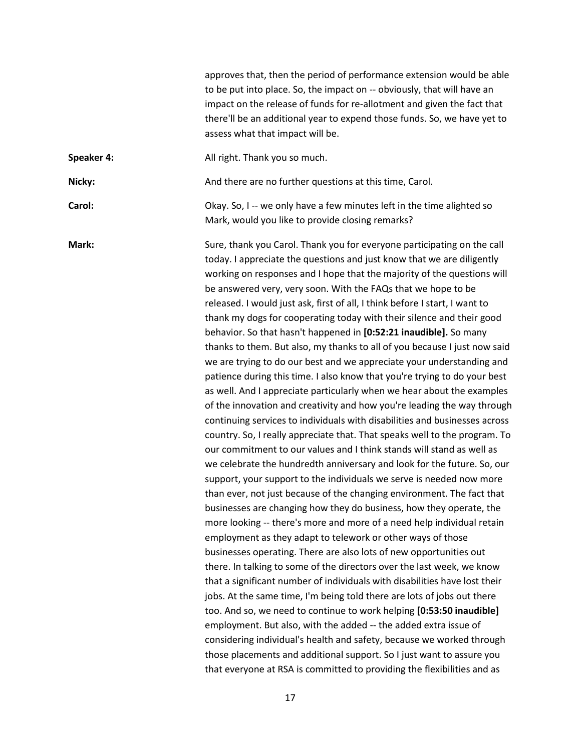|            | approves that, then the period of performance extension would be able<br>to be put into place. So, the impact on -- obviously, that will have an<br>impact on the release of funds for re-allotment and given the fact that<br>there'll be an additional year to expend those funds. So, we have yet to<br>assess what that impact will be.                                                                                                                                                                                                                                                                                                                                                                                                                                                                                                                                                                                                                                                                                                                                                                                                                                                                                                                                                                                                                                                                                                                                                                                                                                                                                                                                                                                                                                                                                                                                                                                                                                                                                                                                                                                                                                                                                                                                            |
|------------|----------------------------------------------------------------------------------------------------------------------------------------------------------------------------------------------------------------------------------------------------------------------------------------------------------------------------------------------------------------------------------------------------------------------------------------------------------------------------------------------------------------------------------------------------------------------------------------------------------------------------------------------------------------------------------------------------------------------------------------------------------------------------------------------------------------------------------------------------------------------------------------------------------------------------------------------------------------------------------------------------------------------------------------------------------------------------------------------------------------------------------------------------------------------------------------------------------------------------------------------------------------------------------------------------------------------------------------------------------------------------------------------------------------------------------------------------------------------------------------------------------------------------------------------------------------------------------------------------------------------------------------------------------------------------------------------------------------------------------------------------------------------------------------------------------------------------------------------------------------------------------------------------------------------------------------------------------------------------------------------------------------------------------------------------------------------------------------------------------------------------------------------------------------------------------------------------------------------------------------------------------------------------------------|
| Speaker 4: | All right. Thank you so much.                                                                                                                                                                                                                                                                                                                                                                                                                                                                                                                                                                                                                                                                                                                                                                                                                                                                                                                                                                                                                                                                                                                                                                                                                                                                                                                                                                                                                                                                                                                                                                                                                                                                                                                                                                                                                                                                                                                                                                                                                                                                                                                                                                                                                                                          |
| Nicky:     | And there are no further questions at this time, Carol.                                                                                                                                                                                                                                                                                                                                                                                                                                                                                                                                                                                                                                                                                                                                                                                                                                                                                                                                                                                                                                                                                                                                                                                                                                                                                                                                                                                                                                                                                                                                                                                                                                                                                                                                                                                                                                                                                                                                                                                                                                                                                                                                                                                                                                |
| Carol:     | Okay. So, I -- we only have a few minutes left in the time alighted so<br>Mark, would you like to provide closing remarks?                                                                                                                                                                                                                                                                                                                                                                                                                                                                                                                                                                                                                                                                                                                                                                                                                                                                                                                                                                                                                                                                                                                                                                                                                                                                                                                                                                                                                                                                                                                                                                                                                                                                                                                                                                                                                                                                                                                                                                                                                                                                                                                                                             |
| Mark:      | Sure, thank you Carol. Thank you for everyone participating on the call<br>today. I appreciate the questions and just know that we are diligently<br>working on responses and I hope that the majority of the questions will<br>be answered very, very soon. With the FAQs that we hope to be<br>released. I would just ask, first of all, I think before I start, I want to<br>thank my dogs for cooperating today with their silence and their good<br>behavior. So that hasn't happened in [0:52:21 inaudible]. So many<br>thanks to them. But also, my thanks to all of you because I just now said<br>we are trying to do our best and we appreciate your understanding and<br>patience during this time. I also know that you're trying to do your best<br>as well. And I appreciate particularly when we hear about the examples<br>of the innovation and creativity and how you're leading the way through<br>continuing services to individuals with disabilities and businesses across<br>country. So, I really appreciate that. That speaks well to the program. To<br>our commitment to our values and I think stands will stand as well as<br>we celebrate the hundredth anniversary and look for the future. So, our<br>support, your support to the individuals we serve is needed now more<br>than ever, not just because of the changing environment. The fact that<br>businesses are changing how they do business, how they operate, the<br>more looking -- there's more and more of a need help individual retain<br>employment as they adapt to telework or other ways of those<br>businesses operating. There are also lots of new opportunities out<br>there. In talking to some of the directors over the last week, we know<br>that a significant number of individuals with disabilities have lost their<br>jobs. At the same time, I'm being told there are lots of jobs out there<br>too. And so, we need to continue to work helping [0:53:50 inaudible]<br>employment. But also, with the added -- the added extra issue of<br>considering individual's health and safety, because we worked through<br>those placements and additional support. So I just want to assure you<br>that everyone at RSA is committed to providing the flexibilities and as |